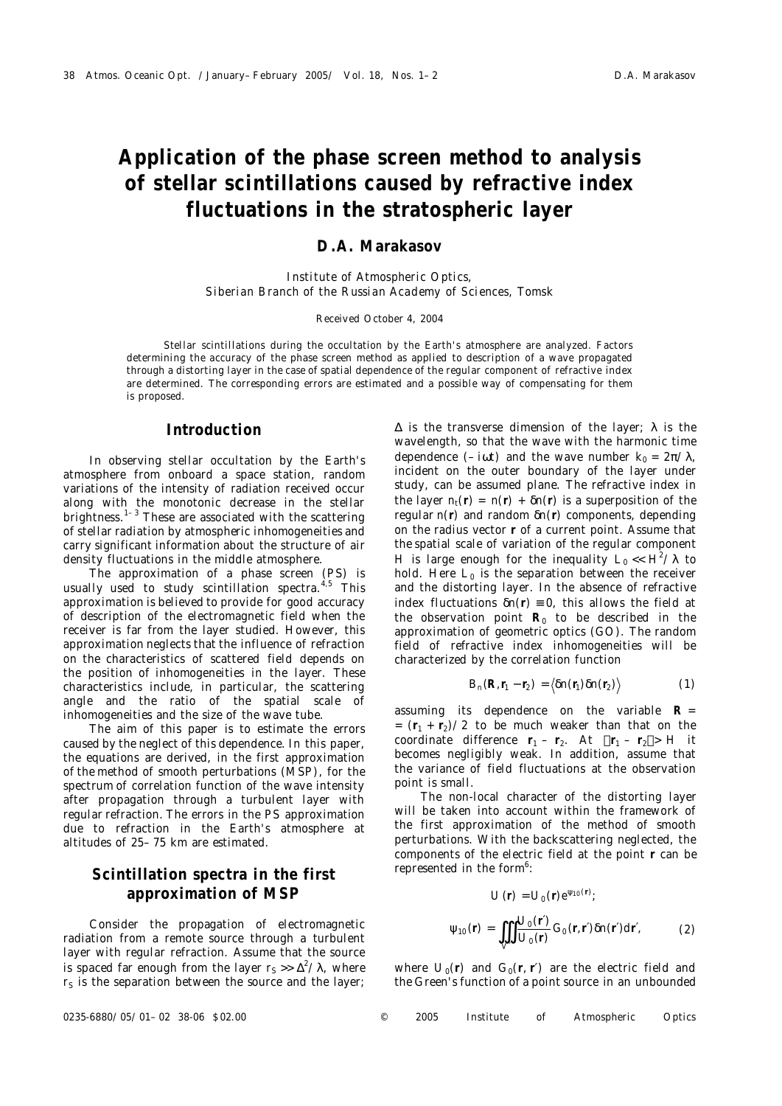# **Application of the phase screen method to analysis of stellar scintillations caused by refractive index fluctuations in the stratospheric layer**

### **D.A. Marakasov**

*Institute of Atmospheric Optics, Siberian Branch of the Russian Academy of Sciences, Tomsk*

#### Received October 4, 2004

Stellar scintillations during the occultation by the Earth's atmosphere are analyzed. Factors determining the accuracy of the phase screen method as applied to description of a wave propagated through a distorting layer in the case of spatial dependence of the regular component of refractive index are determined. The corresponding errors are estimated and a possible way of compensating for them is proposed.

### **Introduction**

In observing stellar occultation by the Earth's atmosphere from onboard a space station, random variations of the intensity of radiation received occur along with the monotonic decrease in the stellar brightness. $1-3$  These are associated with the scattering of stellar radiation by atmospheric inhomogeneities and carry significant information about the structure of air density fluctuations in the middle atmosphere.

The approximation of a phase screen (PS) is usually used to study scintillation spectra.<sup>4,5</sup> This approximation is believed to provide for good accuracy of description of the electromagnetic field when the receiver is far from the layer studied. However, this approximation neglects that the influence of refraction on the characteristics of scattered field depends on the position of inhomogeneities in the layer. These characteristics include, in particular, the scattering angle and the ratio of the spatial scale of inhomogeneities and the size of the wave tube.

The aim of this paper is to estimate the errors caused by the neglect of this dependence. In this paper, the equations are derived, in the first approximation of the method of smooth perturbations (MSP), for the spectrum of correlation function of the wave intensity after propagation through a turbulent layer with regular refraction. The errors in the PS approximation due to refraction in the Earth's atmosphere at altitudes of 25–75 km are estimated.

# **Scintillation spectra in the first approximation of MSP**

Consider the propagation of electromagnetic radiation from a remote source through a turbulent layer with regular refraction. Assume that the source is spaced far enough from the layer  $r_S >> \Delta^2/\lambda$ , where  $r<sub>S</sub>$  is the separation between the source and the layer;  $\Delta$  is the transverse dimension of the layer;  $\lambda$  is the wavelength, so that the wave with the harmonic time dependence  $(-i\omega t)$  and the wave number  $k_0 = 2\pi/\lambda$ , incident on the outer boundary of the layer under study, can be assumed plane. The refractive index in the layer  $n_t(r) = n(r) + \delta n(r)$  is a superposition of the regular *n*(**r**) and random δ*n*(**r**) components, depending on the radius vector **r** of a current point. Assume that the spatial scale of variation of the regular component *H* is large enough for the inequality  $L_0 \ll H^2/\lambda$  to hold. Here  $L_0$  is the separation between the receiver and the distorting layer. In the absence of refractive index fluctuations  $\delta n(r) = 0$ , this allows the field at the observation point  $R_0$  to be described in the approximation of geometric optics (GO). The random field of refractive index inhomogeneities will be characterized by the correlation function

$$
B_n(R, r_1 - r_2) = \langle \delta n(r_1) \delta n(r_2) \rangle \tag{1}
$$

assuming its dependence on the variable **R** =  $=$   $(r_1 + r_2)/2$  to be much weaker than that on the coordinate difference  $r_1 - r_2$ . At  $|r_1 - r_2| > H$  it becomes negligibly weak. In addition, assume that the variance of field fluctuations at the observation point is small.

The non-local character of the distorting layer will be taken into account within the framework of the first approximation of the method of smooth perturbations. With the backscattering neglected, the components of the electric field at the point **r** can be represented in the form<sup>6</sup>:

$$
U(r) = U_0(r) e^{\Psi_{10}(r)};
$$
  

$$
\Psi_{10}(r) = \iiint_{V'} \frac{U_0(r')}{U_0(r)} G_0(r, r') \delta n(r') dr', \qquad (2)
$$

where  $U_0(r)$  and  $G_0(r, r')$  are the electric field and the Green's function of a point source in an unbounded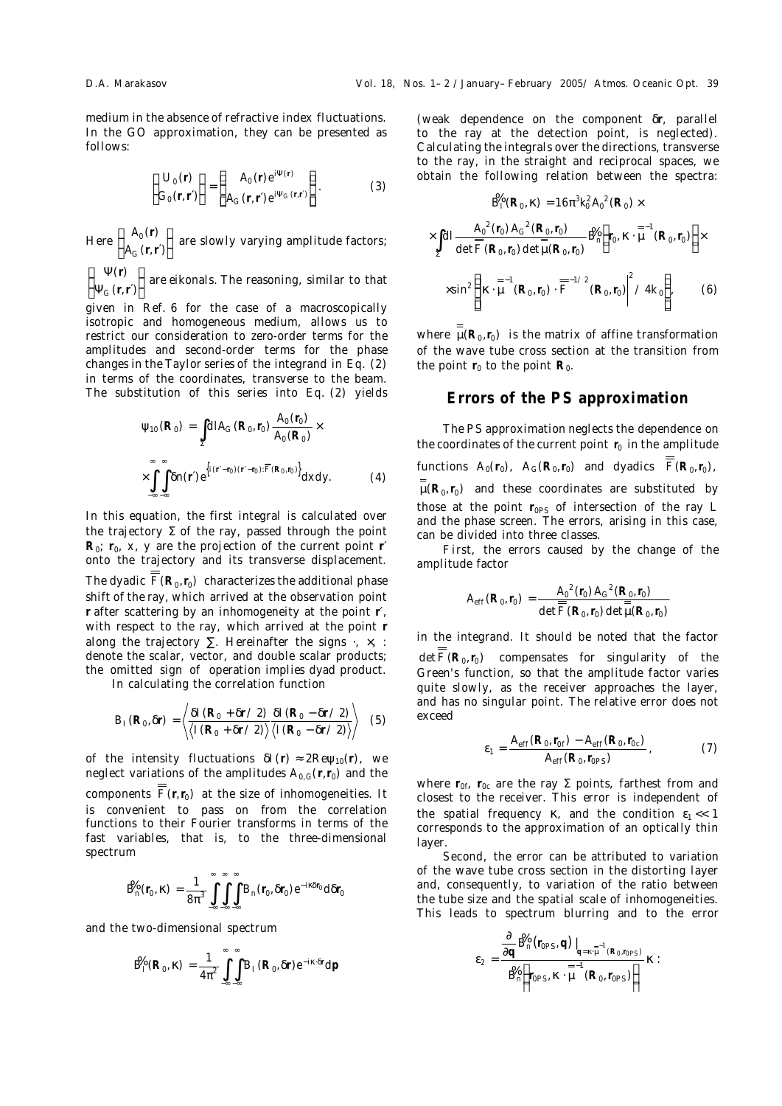medium in the absence of refractive index fluctuations. In the GO approximation, they can be presented as follows:

$$
\begin{Bmatrix} U_0(r) \\ G_0(r,r') \end{Bmatrix} = \begin{Bmatrix} A_0(r) e^{i\Psi(r)} \\ A_G(r,r') e^{i\Psi_G(r,r')} \end{Bmatrix}.
$$
 (3)

Here  $\left\{\begin{array}{c} A_0(r) \\ A_1(r) \end{array}\right\}$ (r,r^ *A* | *A*<sub>0</sub>(r) |<br>|*A<sub>G</sub>*(r,r′)| <sup>11</sup> are slowly varying amplitude factors;<br>r,r^)

 $(r)$ *<sub>G</sub>* (r,r′) | Ψ(r)<br>|Ψ<sub>G</sub>(r,r′)|  $\left\{ \begin{array}{l} r \cdot \\ r \cdot r \cdot \end{array} \right\}$  are eikonals. The reasoning, similar to that

given in Ref. 6 for the case of a macroscopically isotropic and homogeneous medium, allows us to restrict our consideration to zero-order terms for the amplitudes and second-order terms for the phase changes in the Taylor series of the integrand in Eq. (2) in terms of the coordinates, transverse to the beam. The substitution of this series into Eq. (2) yields

$$
\Psi_{10} (R_0) = \int_{\Sigma} dI A_G (R_0, r_0) \frac{A_0 (r_0)}{A_0 (R_0)} \times \times \int_{-\infty}^{\infty} \int_{-\infty}^{\infty} \delta n(r') e^{\left\{i(r'-r_0)(r'-r_0):\overline{F}(R_0, r_0)\right\}} dxdy.
$$
 (4)

In this equation, the first integral is calculated over the trajectory  $\Sigma$  of the ray, passed through the point  $R_0$ ;  $r_0$ ,  $x$ ,  $y$  are the projection of the current point r' onto the trajectory and its transverse displacement. The dyadic  $\overline{F}(\mathsf{R}_{0},\mathsf{r}_{0})$  characterizes the additional phase shift of the ray, which arrived at the observation point **r** after scattering by an inhomogeneity at the point **r**′, with respect to the ray, which arrived at the point **r** along the trajectory  $\Sigma$ . Hereinafter the signs  $\cdot$ ,  $\times$ , : denote the scalar, vector, and double scalar products; the omitted sign of operation implies dyad product.

In calculating the correlation function

$$
B_{I}(R_{0},\delta r) = \left\langle \frac{\delta I(R_{0} + \delta r/2)}{\langle I(R_{0} + \delta r/2) \rangle} \frac{\delta I(R_{0} - \delta r/2)}{\langle I(R_{0} - \delta r/2) \rangle} \right\rangle
$$
 (5)

of the intensity fluctuations  $\delta I(r) \approx 2 \text{Re} \psi_{10}(r)$ , we neglect variations of the amplitudes  $A_{0,G}(r,r_0)$  and the components  $F(r, r_0)$  at the size of inhomogeneities. It is convenient to pass on from the correlation functions to their Fourier transforms in terms of the fast variables, that is, to the three-dimensional spectrum

$$
\mathbf{\dot{B}}_{n}(r_{0},\kappa)=\frac{1}{8\pi^{3}}\int\limits_{-\infty}^{\infty}\int\limits_{-\infty}^{\infty}\int\limits_{-\infty}^{\infty}B_{n}(r_{0},\delta r_{0})e^{-i\kappa\delta r_{0}}d\delta r_{0}
$$

and the two-dimensional spectrum

$$
\mathbf{\dot{B}}_{I}(\mathsf{R}_{0},\kappa)=\frac{1}{4\pi^{2}}\int\limits_{-\infty}^{\infty}\int\limits_{-\infty}^{\infty}B_{I}(\mathsf{R}_{0},\delta\mathsf{r})e^{-i\kappa\cdot\delta\mathsf{r}}\mathrm{d}\mathsf{p}
$$

(weak dependence on the component δ**r**, parallel to the ray at the detection point, is neglected). Calculating the integrals over the directions, transverse to the ray, in the straight and reciprocal spaces, we obtain the following relation between the spectra:

$$
\mathbf{\mathring{B}}_{I}(\mathbf{R}_{0}, \mathbf{k}) = 16\pi^{3}k_{0}^{2}A_{0}^{2}(\mathbf{R}_{0}) \times
$$
\n
$$
\times \int_{\Sigma} dI \frac{A_{0}^{2}(r_{0})A_{G}^{2}(\mathbf{R}_{0}, r_{0})}{\det \overline{\overline{F}}(\mathbf{R}_{0}, r_{0}) \det \overline{\mu}(\mathbf{R}_{0}, r_{0})} \mathbf{\mathring{B}}_{n} \left(r_{0}, \mathbf{k} \cdot \overline{\mu}^{-1}(\mathbf{R}_{0}, r_{0})\right) \times
$$
\n
$$
\times \sin^{2} \left\{\left|\mathbf{k} \cdot \overline{\mu}^{-1}(\mathbf{R}_{0}, r_{0}) \cdot \overline{\overline{F}}^{-1/2}(\mathbf{R}_{0}, r_{0})\right|^{2} / 4k_{0}\right\}, \qquad (6)
$$

where  $\mu(R_0, r_0)$  is the matrix of affine transformation of the wave tube cross section at the transition from the point  $r_0$  to the point  $R_0$ .

# **Errors of the PS approximation**

The PS approximation neglects the dependence on the coordinates of the current point  $r_0$  in the amplitude functions  $A_0(r_0)$ ,  $A_G(R_0,r_0)$  and dyadics  $\overline{\overline{F}}(R_0,r_0)$ ,  $\mu(R_0, r_0)$  and these coordinates are substituted by those at the point r<sub>0PS</sub> of intersection of the ray *L* and the phase screen. The errors, arising in this case, can be divided into three classes.

*First,* the errors caused by the change of the amplitude factor

$$
A_{eff}(R_0,r_0) = \frac{A_0^2(r_0) A_G^2(R_0,r_0)}{\det \overline{F}(R_0,r_0) \det \overline{\overline{\mu}}(R_0,r_0)}
$$

in the integrand. It should be noted that the factor  $\det \overline{F}(\mathsf{R}_{0}, \mathsf{r}_{0})$  compensates for singularity of the Green's function, so that the amplitude factor varies quite slowly, as the receiver approaches the layer, and has no singular point. The relative error does not exceed

$$
\varepsilon_1 = \frac{A_{eff}(R_0, r_{0f}) - A_{eff}(R_0, r_{0c})}{A_{eff}(R_0, r_{0PS})},
$$
 (7)

where r<sub>0f</sub>, r<sub>0c</sub> are the ray Σ points, farthest from and closest to the receiver. This error is independent of the spatial frequency κ, and the condition  $ε_1$  << 1 corresponds to the approximation of an optically thin layer.

*Second,* the error can be attributed to variation of the wave tube cross section in the distorting layer and, consequently, to variation of the ratio between the tube size and the spatial scale of inhomogeneities. This leads to spectrum blurring and to the error

$$
\epsilon_2 = \frac{\frac{\partial}{\partial q} \mathbf{\hat{B}}_n(r_{\text{OPS}}, q) \big|_{q=\kappa \cdot \mu^{-1}(R_{0},r_{\text{OPS}})} }{\mathbf{\hat{B}}_n \left(r_{\text{OPS}}, \kappa \cdot \mu^{-1}(R_{0},r_{\text{OPS}})\right)} \kappa :
$$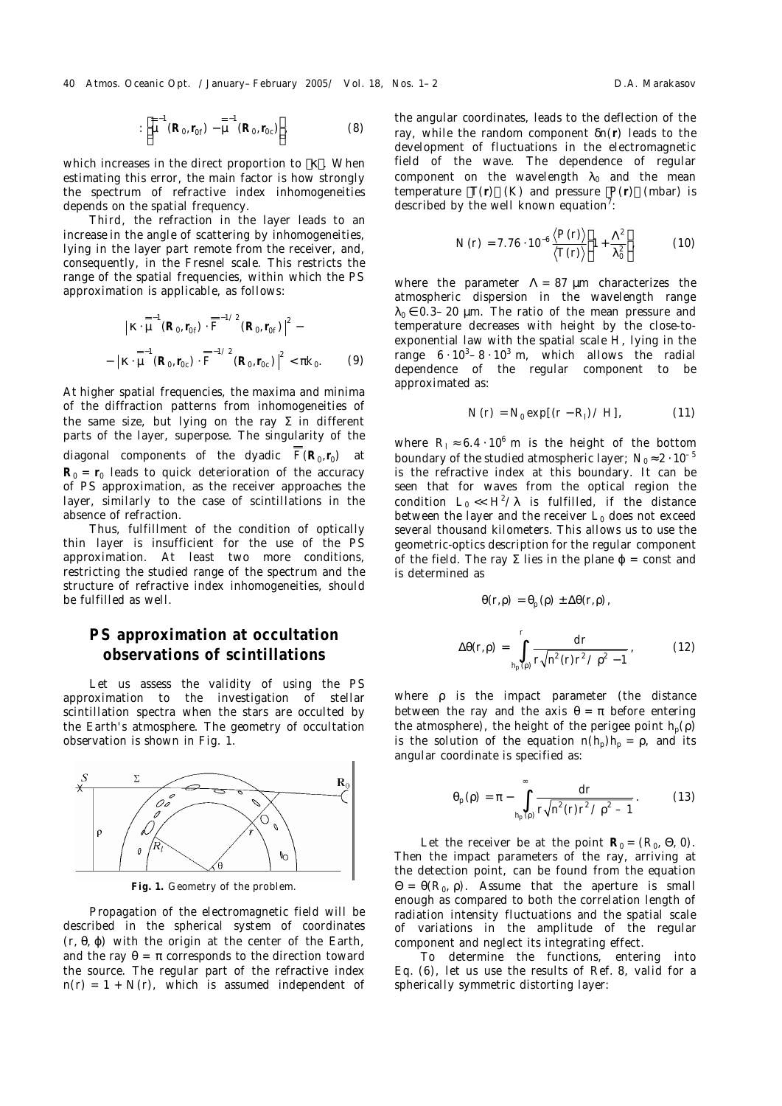40 Atmos. Oceanic Opt. /January–February 2005/ Vol. 18, Nos. 1–2 Channel Communistic D.A. Marakasov

$$
:\left[\mu^{=-1}(R_0,r_{0f})-\mu^{=-1}(R_0,r_{0c})\right],\tag{8}
$$

which increases in the direct proportion to  $|\kappa|$ . When estimating this error, the main factor is how strongly the spectrum of refractive index inhomogeneities depends on the spatial frequency.

*Third,* the refraction in the layer leads to an increase in the angle of scattering by inhomogeneities, lying in the layer part remote from the receiver, and, consequently, in the Fresnel scale. This restricts the range of the spatial frequencies, within which the PS approximation is applicable, as follows:

$$
\left| \kappa \cdot \mu^{-1} (R_0, r_{0f}) \cdot \overline{\overline{F}}^{-1/2} (R_0, r_{0f}) \right|^2 - \\ - \left| \kappa \cdot \mu^{-1} (R_0, r_{0c}) \cdot \overline{\overline{F}}^{-1/2} (R_0, r_{0c}) \right|^2 < \pi k_0. \tag{9}
$$

At higher spatial frequencies, the maxima and minima of the diffraction patterns from inhomogeneities of the same size, but lying on the ray  $\Sigma$  in different parts of the layer, superpose. The singularity of the diagonal components of the dyadic  $\overline{F}(R_0, r_0)$  at  $R_0 = r_0$  leads to quick deterioration of the accuracy of PS approximation, as the receiver approaches the layer, similarly to the case of scintillations in the absence of refraction.

Thus, fulfillment of the condition of optically thin layer is insufficient for the use of the PS approximation. At least two more conditions, restricting the studied range of the spectrum and the structure of refractive index inhomogeneities, should be fulfilled as well.

## **PS approximation at occultation observations of scintillations**

Let us assess the validity of using the PS approximation to the investigation of stellar scintillation spectra when the stars are occulted by the Earth's atmosphere. The geometry of occultation observation is shown in Fig. 1.



**Fig. 1.** Geometry of the problem.

Propagation of the electromagnetic field will be described in the spherical system of coordinates  $(r, \theta, \varphi)$  with the origin at the center of the Earth, and the ray  $\theta = \pi$  corresponds to the direction toward the source. The regular part of the refractive index  $n(r) = 1 + N(r)$ , which is assumed independent of the angular coordinates, leads to the deflection of the ray, while the random component δ*n*(**r**) leads to the development of fluctuations in the electromagnetic field of the wave. The dependence of regular component on the wavelength  $\lambda_0$  and the mean temperature  $\langle T(r) \rangle$  (K) and pressure  $\langle P(r) \rangle$  (mbar) is described by the well known equation<sup>7</sup>:

$$
N(r) = 7.76 \cdot 10^{-6} \frac{\langle P(r) \rangle}{\langle T(r) \rangle} \left(1 + \frac{\Lambda^2}{\lambda_0^2}\right)
$$
 (10)

where the parameter  $\Lambda = 87 \text{ }\mu\text{m}$  characterizes the atmospheric dispersion in the wavelength range  $\lambda_0 \in 0.3-20$  μm. The ratio of the mean pressure and temperature decreases with height by the close-toexponential law with the spatial scale *H*, lying in the range  $6 \cdot 10^3 - 8 \cdot 10^3$  m, which allows the radial dependence of the regular component to be approximated as:

$$
N(r) = N_0 \exp[(r - R_1)/H],
$$
 (11)

where  $R_1 \approx 6.4 \cdot 10^6$  m is the height of the bottom boundary of the studied atmospheric layer;  $N_0 \approx 2 \cdot 10^{-5}$ is the refractive index at this boundary. It can be seen that for waves from the optical region the condition  $L_0 \ll H^2/\lambda$  is fulfilled, if the distance between the layer and the receiver  $L_0$  does not exceed several thousand kilometers. This allows us to use the geometric-optics description for the regular component of the field. The ray  $\Sigma$  lies in the plane  $\varphi$  = const and is determined as

$$
\theta(r,\rho)=\theta_{\rho}(\rho)\pm\Delta\theta(r,\rho),
$$

$$
\Delta \theta(r,\rho) = \int_{r_p(\rho)}^{r} \frac{dr}{r\sqrt{r^2(r)r^2/\rho^2 - 1}} \,, \tag{12}
$$

where ρ is the impact parameter (the distance between the ray and the axis  $\theta = \pi$  before entering the atmosphere), the height of the perigee point  $h_{p}(\rho)$ is the solution of the equation  $n(h_p)h_p = \rho$ , and its angular coordinate is specified as:

$$
\theta_{p}(\rho) = \pi - \int_{h_{p}(\rho)}^{\infty} \frac{dr}{r\sqrt{n^{2}(r)r^{2}/\rho^{2}-1}}.
$$
 (13)

Let the receiver be at the point  $R_0 = (R_0, \Theta, 0)$ . Then the impact parameters of the ray, arriving at the detection point, can be found from the equation  $\Theta = \Theta(R_0, \rho)$ . Assume that the aperture is small enough as compared to both the correlation length of radiation intensity fluctuations and the spatial scale of variations in the amplitude of the regular component and neglect its integrating effect.

To determine the functions, entering into Eq. (6), let us use the results of Ref. 8, valid for a spherically symmetric distorting layer: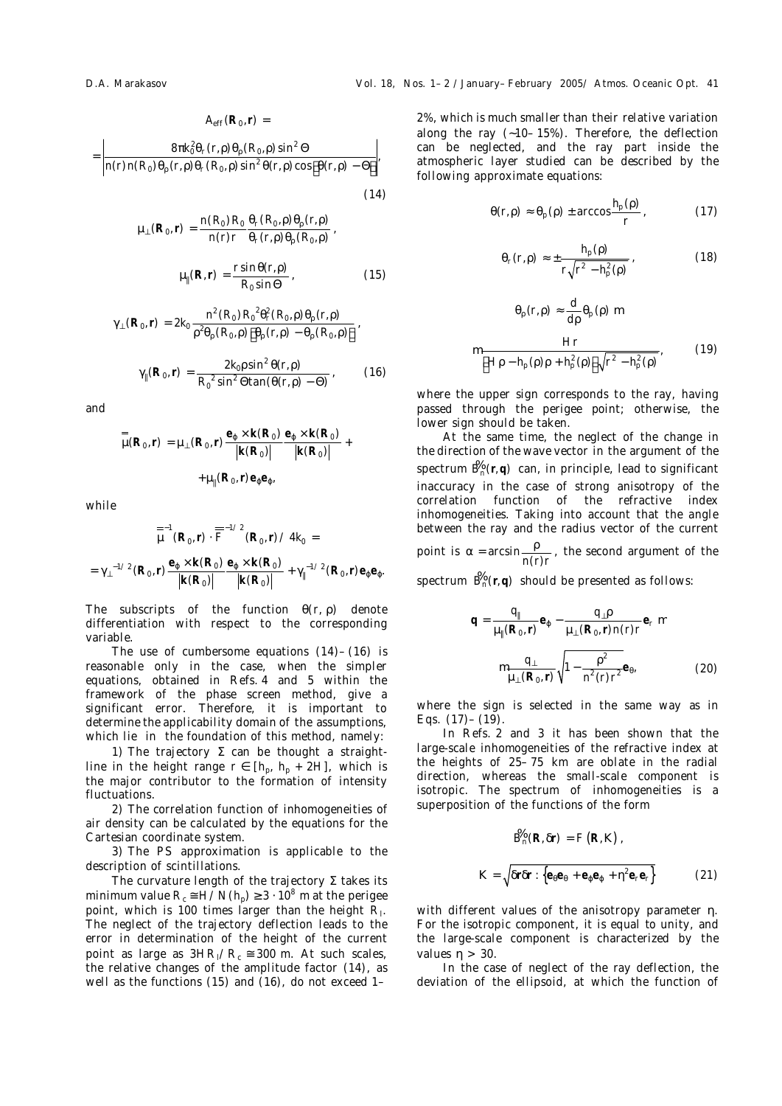$$
A_{\rm eff} (R_0, r) =
$$
\n
$$
= \left| \frac{8\pi k_0^2 \theta_r(r, \rho) \theta_\rho (R_0, \rho) \sin^2 \Theta}{n(r) n(R_0) \theta_\rho (r, \rho) \theta_r (R_0, \rho) \sin^2 \theta(r, \rho) \cos[\theta(r, \rho) - \Theta]} \right|,
$$

$$
\mu_{\perp}(R_0,r)=\frac{n(R_0)R_0}{n(r)r}\frac{\theta_r(R_0,\rho)\theta_\rho(r,\rho)}{\theta_r(r,\rho)\theta_\rho(R_0,\rho)},
$$

$$
\mu_{\parallel}(R,r) = \frac{r \sin \theta(r,\rho)}{R_0 \sin \Theta}, \qquad (15)
$$

(14)

$$
\gamma_{\perp}(R_{0},r) = 2k_{0} \frac{n^{2}(R_{0}) R_{0}^{2} \theta_{r}^{2}(R_{0},p) \theta_{p}(r,p)}{p^{2} \theta_{p}(R_{0},p) [\theta_{p}(r,p) - \theta_{p}(R_{0},p)]},
$$

$$
\gamma_{\parallel}(R_{0},r) = \frac{2k_{0} \sin^{2} \theta(r,p)}{R_{0}^{2} \sin^{2} \theta \tan(\theta(r,p) - \Theta)},
$$
(16)

and

$$
\mu_{\mu}(R_0, r) = \mu_{\perp}(R_0, r) \frac{e_{\varphi} \times k(R_0)}{|k(R_0)|} \frac{e_{\varphi} \times k(R_0)}{|k(R_0)|} + \mu_{\parallel}(R_0, r) e_{\varphi} e_{\varphi},
$$

while

$$
\overline{\mu}^{-1}(R_0, r) \cdot \overline{\overline{F}}^{-1/2}(R_0, r) \angle 4k_0 =
$$
\n
$$
= \gamma_{\perp}^{-1/2}(R_0, r) \frac{e_{\varphi} \times k(R_0)}{|k(R_0)|} \frac{e_{\varphi} \times k(R_0)}{|k(R_0)|} + \gamma_{\parallel}^{-1/2}(R_0, r) e_{\varphi} e_{\varphi}.
$$

The subscripts of the function  $\theta(r, \rho)$  denote differentiation with respect to the corresponding variable.

The use of cumbersome equations  $(14) - (16)$  is reasonable only in the case, when the simpler equations, obtained in Refs. 4 and 5 within the framework of the phase screen method, give a significant error. Therefore, it is important to determine the applicability domain of the assumptions, which lie in the foundation of this method, namely:

1) The trajectory  $\Sigma$  can be thought a straightline in the height range  $r \in [h_{p}, h_{p} + 2H]$ , which is the major contributor to the formation of intensity fluctuations.

2) The correlation function of inhomogeneities of air density can be calculated by the equations for the Cartesian coordinate system.

3) The PS approximation is applicable to the description of scintillations.

The curvature length of the trajectory Σ takes its minimum value  $R_{\rm c}$   $\cong$  *H/N*( $h_{\rm p}$ )  $\ge$  3  $\cdot$  10<sup>8</sup> m at the perigee point, which is 100 times larger than the height *R*l. The neglect of the trajectory deflection leads to the error in determination of the height of the current point as large as  $3HR_1/R_c \approx 300$  m. At such scales, the relative changes of the amplitude factor (14), as well as the functions (15) and (16), do not exceed 1–

2%, which is much smaller than their relative variation along the ray (∼10–15%). Therefore, the deflection can be neglected, and the ray part inside the atmospheric layer studied can be described by the following approximate equations:

$$
\theta(r,\rho) \approx \theta_{\rm p}(\rho) \pm \arccos \frac{h_{\rm p}(\rho)}{r} \,, \tag{17}
$$

$$
\theta_r(r,\rho) \approx \pm \frac{h_\text{p}(\rho)}{r\sqrt{r^2 - h_\text{p}^2(\rho)}}\,,\tag{18}
$$

$$
\theta_{\rho}(r,\rho) \approx \frac{d}{d\rho} \theta_{\rho}(\rho) \sim
$$

$$
\left[ \frac{Hr}{[H\rho - h_{\rho}(\rho)\rho + h_{\rho}^{2}(\rho)]\sqrt{r^{2} - h_{\rho}^{2}(\rho)}} ,\right]
$$
(19)

where the upper sign corresponds to the ray, having passed through the perigee point; otherwise, the lower sign should be taken.

At the same time, the neglect of the change in the direction of the wave vector in the argument of the spectrum  $\mathbf{\hat{B}}_{n}(\mathbf{r}, \mathbf{q})$  can, in principle, lead to significant inaccuracy in the case of strong anisotropy of the correlation function of the refractive index inhomogeneities. Taking into account that the angle between the ray and the radius vector of the current point is  $\alpha = \arcsin \frac{P}{n(r)r}$  $\alpha = \arcsin \frac{\rho}{\sqrt{2}}$ , the second argument of the

 $s$ pectrum  $\mathcal{B}_n(r,q)$  should be presented as follows:

$$
q = \frac{q_{\parallel}}{\mu_{\parallel}(R_{0},r)} e_{\varphi} - \frac{q_{\perp} \rho}{\mu_{\perp}(R_{0},r)n(r)r} e_{r} \sim \frac{q_{\perp}}{\mu_{\perp}(R_{0},r)} \sqrt{1 - \frac{\rho^{2}}{n^{2}(r)r^{2}}} e_{\theta},
$$
 (20)

where the sign is selected in the same way as in Eqs.  $(17) - (19)$ .

In Refs. 2 and 3 it has been shown that the large-scale inhomogeneities of the refractive index at the heights of 25–75 km are oblate in the radial direction, whereas the small-scale component is isotropic. The spectrum of inhomogeneities is a superposition of the functions of the form

$$
\mathbf{\hat{B}}_{n}(\mathbf{R}, \delta \mathbf{r}) = F(\mathbf{R}, \mathbf{K}) ,
$$
\n
$$
\mathbf{K} = \sqrt{\delta \mathbf{r} \delta \mathbf{r} : \left\{ \mathbf{e}_{\theta} \mathbf{e}_{\theta} + \mathbf{e}_{\phi} \mathbf{e}_{\phi} + \eta^{2} \mathbf{e}_{r} \mathbf{e}_{r} \right\}} \tag{21}
$$

with different values of the anisotropy parameter η. For the isotropic component, it is equal to unity, and the large-scale component is characterized by the values η > 30.

In the case of neglect of the ray deflection, the deviation of the ellipsoid, at which the function of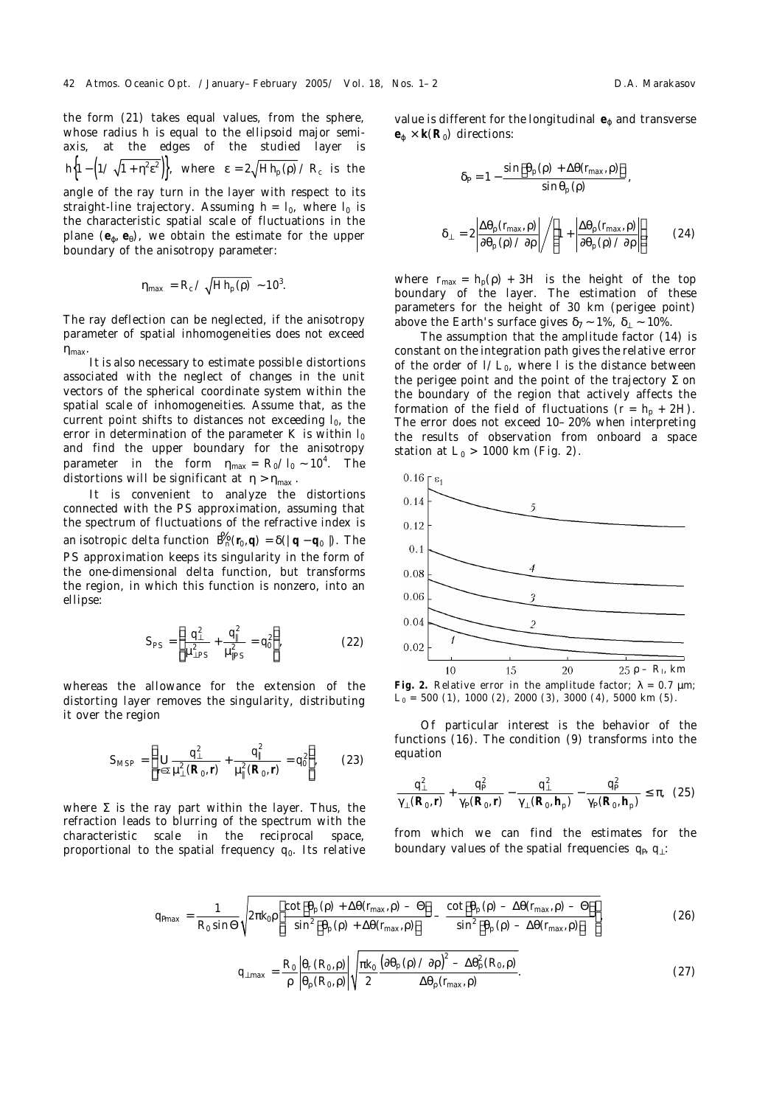straight-line trajectory. Assuming  $h = I_0$ , where  $I_0$  is the characteristic spatial scale of fluctuations in the plane (**e**ϕ, **e**θ), we obtain the estimate for the upper boundary of the anisotropy parameter:

$$
\eta_{\text{max}} = R_{\text{c}} / \sqrt{H h_{\text{p}}(\rho)} \sim 10^3.
$$

The ray deflection can be neglected, if the anisotropy parameter of spatial inhomogeneities does not exceed  $\eta_{\text{max}}$ .

It is also necessary to estimate possible distortions associated with the neglect of changes in the unit vectors of the spherical coordinate system within the spatial scale of inhomogeneities. Assume that, as the current point shifts to distances not exceeding  $I_0$ , the error in determination of the parameter *K* is within  $I_0$ and find the upper boundary for the anisotropy  $\mu_{\text{parameter}}$  in the form  $\eta_{\text{max}} = R_0 / I_0 \sim 10^4$ . The distortions will be significant at  $\eta > \eta_{\text{max}}$ .

It is convenient to analyze the distortions connected with the PS approximation, assuming that the spectrum of fluctuations of the refractive index is an isotropic delta function  $\mathcal{B}_n(r_0, q) = \delta(|q - q_0|)$ . The PS approximation keeps its singularity in the form of the one-dimensional delta function, but transforms the region, in which this function is nonzero, into an ellipse:

$$
S_{PS} = \left\{ \frac{q_{\perp}^2}{\mu_{\perp PS}^2} + \frac{q_{\parallel}^2}{\mu_{\parallel PS}^2} = q_0^2 \right\},
$$
 (22)

whereas the allowance for the extension of the distorting layer removes the singularity, distributing it over the region

$$
S_{\text{MSP}} = \left\{ \mathbf{f} \sum_{r \in \Sigma} \frac{q_{\perp}^2}{\mu_{\perp}^2 (R_0, r)} + \frac{q_{\parallel}^2}{\mu_{\parallel}^2 (R_0, r)} = q_0^2 \right\},
$$
 (23)

where  $\Sigma$  is the ray part within the layer. Thus, the refraction leads to blurring of the spectrum with the characteristic scale in the reciprocal space, proportional to the spatial frequency *q*0. Its relative

value is different for the longitudinal  $e_{\varphi}$  and transverse  $e_{\varphi} \times k(R_0)$  directions:

$$
\delta_{a} = 1 - \frac{\sin[\theta_{p}(\rho) + \Delta\theta(r_{max}, \rho)]}{\sin\theta_{p}(\rho)},
$$

$$
\delta_{\perp} = 2 \left| \frac{\Delta\theta_{p}(r_{max}, \rho)}{\partial\theta_{p}(\rho) \angle\partial\rho} \right| / \left( 1 + \left| \frac{\Delta\theta_{p}(r_{max}, \rho)}{\partial\theta_{p}(\rho) \angle\partial\rho} \right| \right), \tag{24}
$$

where  $r_{\text{max}} = h_{\text{p}}(\rho) + 3H$  is the height of the top boundary of the layer. The estimation of these parameters for the height of 30 km (perigee point) above the Earth's surface gives  $\delta_7 \sim 1\%$ ,  $\delta_\perp \sim 10\%$ .

The assumption that the amplitude factor (14) is constant on the integration path gives the relative error of the order of *l*/*L*0, where *l* is the distance between the perigee point and the point of the trajectory  $\Sigma$  on the boundary of the region that actively affects the formation of the field of fluctuations  $(r = h_0 + 2H)$ . The error does not exceed 10–20% when interpreting the results of observation from onboard a space station at *L*<sub>0</sub> > 1000 km (Fig. 2).



**Fig. 2.** Relative error in the amplitude factor:  $\lambda = 0.7$  um; *L*0 = 500 (*1*), 1000 (*2*), 2000 (*3*), 3000 (*4*), 5000 km (*5*).

Of particular interest is the behavior of the functions (16). The condition (9) transforms into the equation

$$
\frac{q_{\perp}^{2}}{\gamma_{\perp}(\mathsf{R}_{0},\mathsf{r})} + \frac{q_{\mathsf{a}}^{2}}{\gamma_{\mathsf{a}}(\mathsf{R}_{0},\mathsf{r})} - \frac{q_{\perp}^{2}}{\gamma_{\perp}(\mathsf{R}_{0},\mathsf{h}_{p})} - \frac{q_{\mathsf{a}}^{2}}{\gamma_{\mathsf{a}}(\mathsf{R}_{0},\mathsf{h}_{p})} \leq \pi, (25)
$$

from which we can find the estimates for the boundary values of the spatial frequencies  $q_a$ ,  $q_⊥$ :

$$
q_{\text{max}} = \frac{1}{R_0 \sin \Theta} \sqrt{2\pi k_0 \rho \left[ \frac{\cot[\theta_p(\rho) + \Delta\theta(r_{\text{max}}, \rho) - \Theta]}{\sin^2[\theta_p(\rho) + \Delta\theta(r_{\text{max}}, \rho)]} - \frac{\cot[\theta_p(\rho) - \Delta\theta(r_{\text{max}}, \rho) - \Theta]}{\sin^2[\theta_p(\rho) - \Delta\theta(r_{\text{max}}, \rho)]} \right]},
$$
(26)

$$
q_{\perp \max} = \frac{R_0}{\rho} \left| \frac{\theta_r(R_0, \rho)}{\theta_\rho(R_0, \rho)} \right| \sqrt{\frac{\pi k_0}{2} \frac{\left(\partial \theta_p(\rho) \angle \partial \rho\right)^2 - \Delta \theta_\rho^2(R_0, \rho)}}{\Delta \theta_\rho(r_{\max}, \rho)}.
$$
 (27)